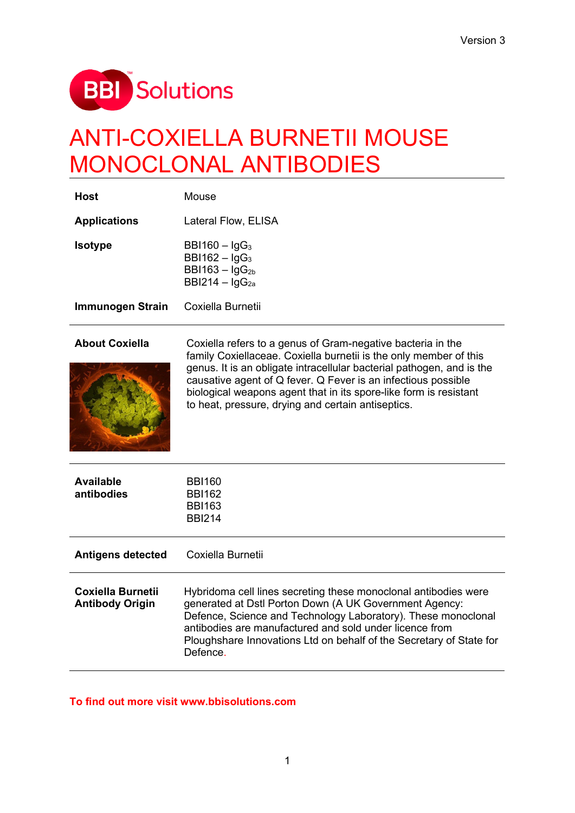

# ANTI-COXIELLA BURNETII MOUSE MONOCLONAL ANTIBODIES

| Host                | Mouse                                                                                                      |  |  |  |  |  |  |  |
|---------------------|------------------------------------------------------------------------------------------------------------|--|--|--|--|--|--|--|
| <b>Applications</b> | <b>Lateral Flow, ELISA</b>                                                                                 |  |  |  |  |  |  |  |
| <b>Isotype</b>      | BBI160 $-$ IgG <sub>3</sub><br>BBI162 $-$ IgG <sub>3</sub><br>$BB1163 - lgG_{2b}$<br>BBI214 – $\lg G_{2a}$ |  |  |  |  |  |  |  |
| Immunogen Strain    | Coxiella Burnetii                                                                                          |  |  |  |  |  |  |  |



**About Coxiella** Coxiella refers to a genus of [Gram-negative](https://en.wikipedia.org/wiki/Gram-negative) [bacteria](https://en.wikipedia.org/wiki/Bacteria) in the family [Coxiellaceae.](https://en.wikipedia.org/wiki/Coxiellaceae) [Coxiella burnetii](https://en.wikipedia.org/wiki/Coxiella_burnetii) is the only member of this genus. It is an [obligate intracellular](https://en.wikipedia.org/wiki/Obligate_intracellular_parasite) [bacterial](https://en.wikipedia.org/wiki/Bacterium) pathogen, and is the causative agent of [Q fever.](https://en.wikipedia.org/wiki/Q_fever) Q Fever is an infectious possible biological weapons agent that in its spore-like form is resistant to heat, pressure, drying and certain antiseptics.

| <b>Available</b><br>antibodies              | <b>BBI160</b><br><b>BBI162</b><br><b>BBI163</b><br><b>BBI214</b>                                                                                                                                                                                                                                                             |
|---------------------------------------------|------------------------------------------------------------------------------------------------------------------------------------------------------------------------------------------------------------------------------------------------------------------------------------------------------------------------------|
| <b>Antigens detected</b>                    | Coxiella Burnetii                                                                                                                                                                                                                                                                                                            |
| Coxiella Burnetii<br><b>Antibody Origin</b> | Hybridoma cell lines secreting these monoclonal antibodies were<br>generated at Dstl Porton Down (A UK Government Agency:<br>Defence, Science and Technology Laboratory). These monoclonal<br>antibodies are manufactured and sold under licence from<br>Ploughshare Innovations Ltd on behalf of the Secretary of State for |

### **To find out more visit www.bbisolutions.com**

Defence.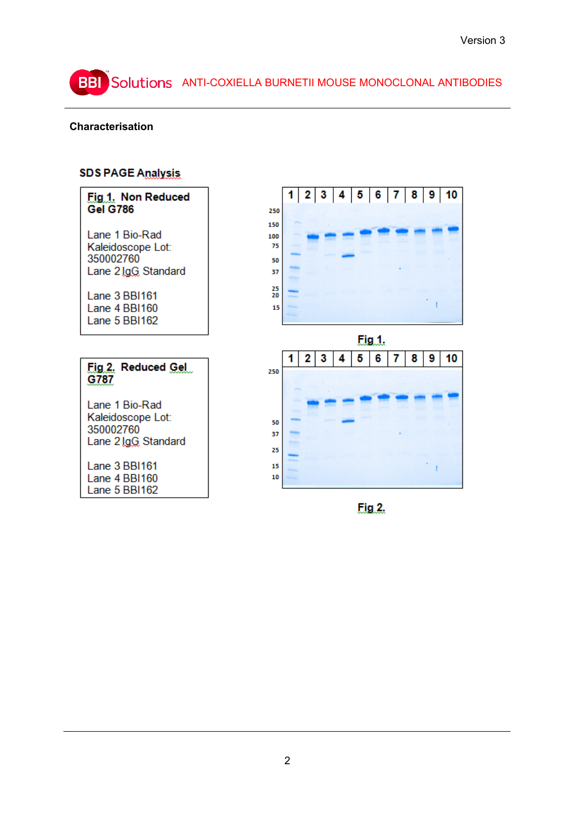## BBI Solutions ANTI-COXIELLA BURNETII MOUSE MONOCLONAL ANTIBODIES

## **Characterisation**

## **SDS PAGE Analysis**

| Fig.1. Non Reduced                                                                                                         |                                         |   |   |   |   |               |   |   | 1 2 3 4 5 6 7 8 9 10 |
|----------------------------------------------------------------------------------------------------------------------------|-----------------------------------------|---|---|---|---|---------------|---|---|----------------------|
| <b>Gel G786</b>                                                                                                            | 250<br>150                              |   |   |   |   |               |   |   |                      |
| Lane 1 Bio-Rad<br>Kaleidoscope Lot:<br>350002760<br>Lane 2 lgG Standard<br>Lane 3 BBI161<br>Lane 4 BBI160<br>Lane 5 BBI162 | 100<br>75<br>50<br>37<br>25<br>20<br>15 |   |   |   |   |               |   |   |                      |
|                                                                                                                            |                                         |   |   |   |   | <u>Fig 1.</u> |   |   |                      |
| Fig 2. Reduced Gel<br>G787                                                                                                 | 250                                     | 2 | 3 | Δ | 5 | 6             | 8 | 9 | 10                   |
| Lane 1 Bio-Rad<br>Kaleidoscope Lot:<br>350002760<br>Lane 2 lgG Standard                                                    | 50<br>37<br>25                          |   |   |   |   |               |   |   |                      |
| Lane 3 BBI161<br>Lane 4 BBI160<br>Lane 5 BBI162                                                                            | 15<br>10                                |   |   |   |   |               |   |   |                      |

Fig. 2.